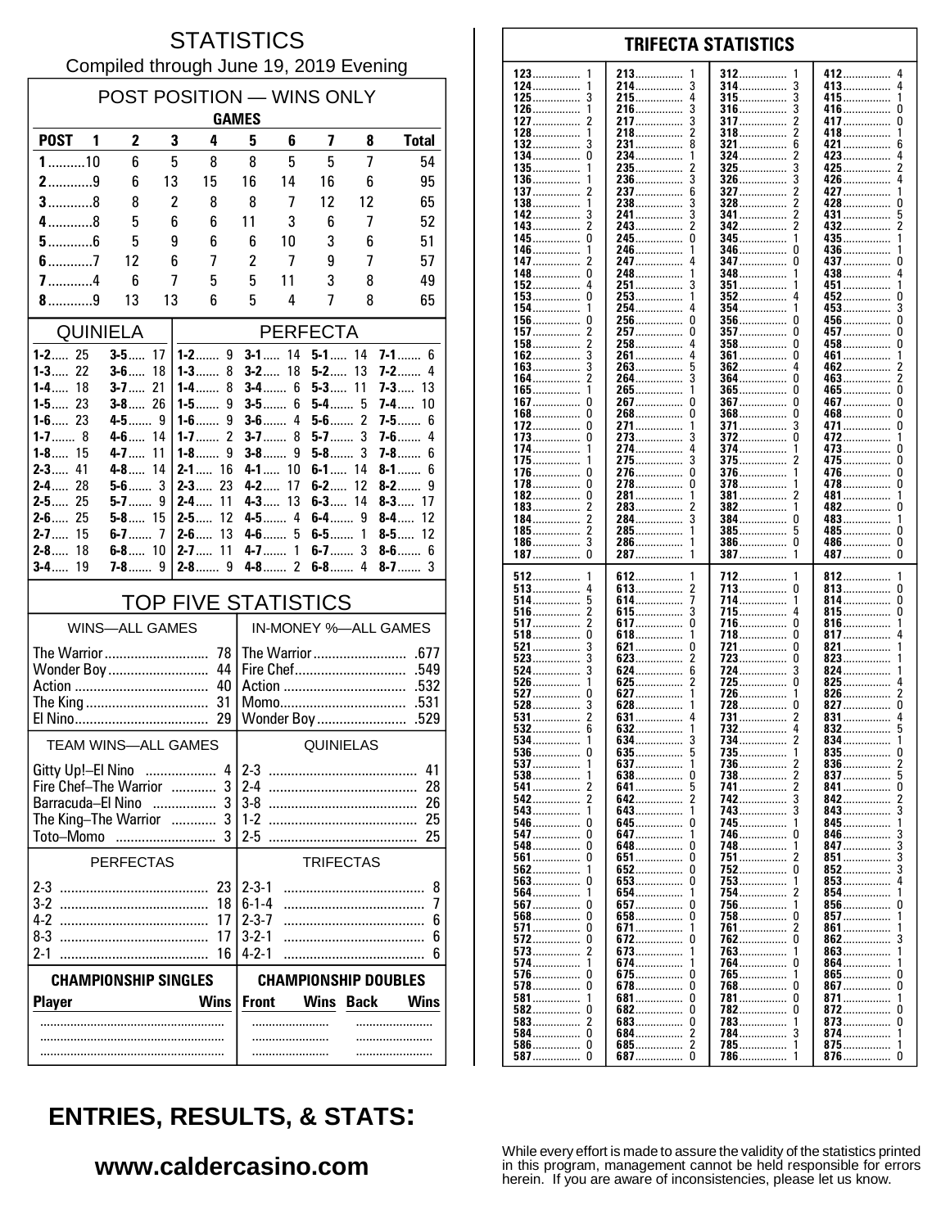#### **STATISTICS** Compiled through June 19, 2019 Evening

| POST POSITION - WINS ONLY<br><b>GAMES</b>     |                            |          |                                           |                             |                          |                      |                     |                               |  |
|-----------------------------------------------|----------------------------|----------|-------------------------------------------|-----------------------------|--------------------------|----------------------|---------------------|-------------------------------|--|
| <b>POST</b><br>$\blacksquare$                 | $\mathbf{2}$               | 3        | 4                                         | 5                           | 6                        | 7                    | 8                   | <b>Total</b>                  |  |
| $1$ 10                                        | 6                          | 5        | 8                                         | 8                           | 5                        | 5                    | 7                   | 54                            |  |
| $2$ 9                                         | 6                          | 13       | 15                                        | 16                          | 14                       | 16                   | 6                   | 95                            |  |
| $3$ 8                                         | 8                          | 2        | 8                                         | 8                           | 7                        | 12                   | 12                  | 65                            |  |
| $4$ 8                                         | 5                          | 6        | 6                                         | 11                          | 3                        | 6                    | 7                   | 52                            |  |
| $5$ 6                                         | 5                          | 9        | 6                                         | 6                           | 10                       | 3                    | 6                   | 51                            |  |
| $6$ 7                                         | 12                         | 6        | 7                                         | 2                           | 7                        | 9                    | 7                   | 57                            |  |
| $7$ 4                                         | 6                          | 7        | 5                                         | 5                           | 11                       | 3                    | 8                   | 49                            |  |
| $8$ 9                                         | 13                         | 13       | 6                                         | 5                           | 4                        | 7                    | 8                   | 65                            |  |
|                                               | <b>QUINIELA</b>            |          |                                           |                             |                          | <b>PERFECTA</b>      |                     |                               |  |
| $1 - 2$ 25<br>$1 - 3$ 22                      | $3-5$<br>$3 - 6$           | 17<br>18 | $1 - 2$ 9<br>$1 - 3$<br>8                 |                             | $3 - 1$ 14<br>$3 - 2$ 18 | $5 - 1$ 14<br>$5-2$  | 13                  | <b>7-1</b><br>6<br>$7-2$<br>4 |  |
| $1 - 4$<br>18                                 | $3-7$                      | 21       | 1-4……<br>8                                |                             | $3-4$<br>6               | $5 - 3$ 11           |                     | $7 - 3$ 13                    |  |
| $1 - 5$ 23                                    | $3 - 8$ 26                 |          | $1-5$<br>9                                |                             | $3-5$<br>6               | $5-4$                | 5                   | <b>7-4</b> …… 10              |  |
| $1 - 6$ 23<br>$1 - 7$ 8                       | $4 - 5$ 9<br>4-6           | 14       | 9<br>$1 - 6$<br>$\overline{2}$<br>$1 - 7$ | $3-6$                       | 4<br>$3 - 7$<br>8        | $5-6$<br>$5-7$       | $\overline{c}$<br>3 | $7 - 5$<br>6<br>$7-6$<br>4    |  |
| $1 - 8$ 15                                    | $4 - 7$                    | 11       | $1-8$<br>9                                |                             | $3-8$<br>9               | $5-8$                | 3                   | $7-8$<br>6                    |  |
| $2 - 3$<br>41                                 | $4-8$                      | 14       | $2-1$<br>16                               |                             | 4-1 10                   | $6-1$                | 14                  | 8-1……<br>6                    |  |
| $2 - 4$ 28<br>$2 - 5$ 25                      | $5-6$<br>$5-7$             | 3<br>9   | $2-3$<br>23<br>$2 - 4$<br>11              | $4 - 2$<br>$4 - 3$          | 17<br>13                 | $6 - 2$<br>$6 - 3$   | 12<br>14            | $8-2$<br>9<br>$8-3$<br>17     |  |
| $2 - 6$ 25                                    | $5 - 8$ 15                 |          | $2 - 5$<br>12                             |                             | 4-5<br>4                 | $6 - 4$ 9            |                     | $8 - 4$<br>12                 |  |
| $2 - 7$ 15                                    | $6-7$                      | 7        | $2 - 6$<br>13                             |                             | $4-6$<br>5               | $6-5$                | 1                   | $8 - 5$ 12                    |  |
| $2-8$<br>18<br>$3-4$<br>19                    | $6 - 8$ 10                 |          | 11<br>$2 - 7$                             | $4 - 7$                     | 1<br>$4 - 8$ 2           | $6-7$<br>$6-8$       | 3<br>4              | $8-6$<br>6<br>$8-7$<br>3      |  |
|                                               |                            |          |                                           |                             |                          |                      |                     |                               |  |
| <b>TOP FIVE STATISTICS</b>                    |                            |          |                                           |                             |                          |                      |                     |                               |  |
|                                               | <b>WINS-ALL GAMES</b>      |          |                                           |                             |                          | IN-MONEY %-ALL GAMES |                     |                               |  |
| Wonder Boy                                    |                            |          | 44                                        |                             |                          |                      |                     |                               |  |
|                                               |                            |          | 40                                        |                             |                          |                      |                     |                               |  |
|                                               |                            |          |                                           | Momo<br>.531<br>Wonder Boy  |                          |                      |                     |                               |  |
|                                               |                            |          | 29                                        |                             |                          |                      |                     | .529                          |  |
|                                               | <b>TEAM WINS-ALL GAMES</b> |          |                                           | QUINIELAS                   |                          |                      |                     |                               |  |
| Gitty Up!-El Nino                             |                            |          |                                           | $4 2-3$<br>41               |                          |                      |                     |                               |  |
| Fire Chef-The Warrior  3<br>Barracuda-El Nino |                            |          |                                           | $2-4$<br>28<br>26           |                          |                      |                     |                               |  |
| The King-The Warrior                          |                            |          | $1-2$<br>25                               |                             |                          |                      |                     |                               |  |
| Toto-Momo                                     |                            |          | .                                         | $2 - 5$                     |                          |                      |                     | 25                            |  |
|                                               | <b>PERFECTAS</b>           |          |                                           |                             |                          | <b>TRIFECTAS</b>     |                     |                               |  |
|                                               |                            |          | 23                                        | $2 - 3 - 1$                 |                          |                      |                     | 8                             |  |
|                                               |                            |          | 18<br>17                                  | $6 - 1 - 4$<br>$2 - 3 - 7$  |                          |                      |                     | 7<br>6                        |  |
| $8-3$                                         |                            |          | 17                                        | $3 - 2 - 1$                 |                          |                      |                     | 6                             |  |
| $2 - 1$                                       |                            |          | 16                                        | $4 - 2 - 1$                 |                          |                      |                     | 6                             |  |
| <b>CHAMPIONSHIP SINGLES</b>                   |                            |          |                                           | <b>CHAMPIONSHIP DOUBLES</b> |                          |                      |                     |                               |  |
| <b>Player</b>                                 |                            |          | <b>Wins</b>                               | <b>Front</b>                |                          | Wins                 | <b>Back</b>         | <b>Wins</b>                   |  |
|                                               |                            |          |                                           |                             | .                        |                      |                     | .                             |  |
|                                               |                            |          |                                           |                             |                          |                      |                     |                               |  |

| 123<br>1      | 213<br>1        | 312<br>1             | 412……………<br>4        |
|---------------|-----------------|----------------------|----------------------|
|               |                 |                      |                      |
| 124           | 3<br>214……………   | 3<br>314……………        | 413……………<br>4        |
| $125$         | 215<br>4        | 315<br>3             | 415<br>1             |
|               |                 |                      |                      |
| 126……………<br>1 | 216……………<br>3   | 316……………<br>3        | 416……………<br>U        |
| 127           | 217<br>3        | 317<br>2             | 417<br>U             |
|               |                 |                      |                      |
| 128           | 2<br>218……………   | 2<br>318……………        | 418……………<br>1        |
| 132           | 231             | 321<br>6             | 421<br>6             |
|               |                 |                      |                      |
| 134           | 234<br>1        | 324<br>2             | 423<br>4             |
|               |                 | 3                    |                      |
| $135$         | 235             | $325$                | 425<br>2             |
| $136$<br>1    | 236<br>3        | 3<br>326……………        | 426……………<br>4        |
|               |                 |                      |                      |
| 137<br>2      | 237<br>6        | <b>327</b><br>2      | 427<br>1             |
| 138……………      | 238<br>3        | $328$<br>2           | 428<br>U             |
|               |                 |                      |                      |
| 142           | 241……………        | 341<br>2             | 431<br>5             |
| 143<br>2      | 243<br>2        | 342<br>2             | 432……………<br>2        |
|               |                 |                      |                      |
| 145<br>0      | 245……………<br>0   | 345                  | 435<br>1             |
| 1             | 246……………<br>1   | 346<br>0             | 436……………<br>1        |
| 146……………      |                 |                      |                      |
| 147<br>2      | 247……………        | 347<br>0             | 437<br>0             |
| 0             | 1               | 1                    | 438<br>4             |
| 148……………      | 248             | 348                  |                      |
| 152           | 251<br>3        | 351<br>1             | 451<br>1             |
|               | 1               |                      |                      |
| 153<br>0      | 253             | 352<br>4             | 452<br>0             |
| 154……………<br>1 | 254……………<br>4   | 354……………<br>1        | 453<br>3             |
|               |                 |                      |                      |
| 156……………<br>0 | 256<br>0        | $356$<br>0           | 456<br>0             |
| 157<br>2      | 257<br>0        | <b>357</b><br>0      | 457<br>0             |
|               |                 |                      |                      |
| 158……………      | 258<br>4        | $358$<br>0           | 458<br>0             |
| 162           | 4<br>261……………   | 361<br>0             | 461<br>1             |
|               |                 |                      |                      |
| $163$         | 263<br>5        | 4<br><b>362</b>      | 462<br>2             |
| 164……………      | 3<br>264……………   | 364……………<br>0        | 2<br>463……………        |
|               |                 |                      |                      |
| $165$         | 265……………<br>1   | $365$<br>0           | 465<br>0             |
| 167<br>0      | 267<br>0        | $367$<br>0           | 467<br>0             |
|               |                 |                      |                      |
| $168$<br>0    | 268……………<br>0   | $368$<br>0           | 468……………<br>0        |
| $172$         | 271<br>1        | 371<br>3             | 471<br>0             |
|               |                 |                      |                      |
| $173$         | 273<br>3        | $372$<br>0           | 472<br>1             |
| 174           | 274<br>4        | 374……………<br>1        | 473<br>0             |
|               |                 |                      |                      |
| 175……………<br>1 | 3<br>275        | $375$<br>2           | 475<br>0             |
|               |                 |                      |                      |
| 176<br>0      | 276……………<br>0   | 376<br>1             | 476……………<br>0        |
| $178$         | 278<br>0        | $378$<br>1           | 478<br>0             |
|               |                 |                      |                      |
| 182<br>0      | 281<br>1        | 381<br>2             | 481……………<br>1        |
| $183$         | 283<br>2        | 382<br>1             | 482<br>0             |
|               | 3               |                      |                      |
| 2<br>184…………… | 284             | 384<br>0             | 483<br>1             |
| 185           | 285             | $385$<br>5           | 485<br>0             |
|               |                 |                      |                      |
| 186……………      | 286<br>1        | 386……………<br>0        | 486<br>0             |
|               | 287<br>1        | 1                    | 487……………<br>0        |
|               |                 |                      |                      |
| 187<br>0      |                 | 387                  |                      |
|               |                 |                      |                      |
| 1             | 1               | 1                    | 1                    |
| $512$         | 612             | 712                  | 812                  |
| 513<br>4      | 2<br>613        | 713<br>0             | 813……………<br>0        |
| 5             | 614<br>7        | 714<br>1             | 814<br>0             |
| 514           |                 |                      |                      |
| 516<br>2      | 3<br><b>615</b> | 715<br>4             | 815……………<br>0        |
|               | 0               | 0                    | 1                    |
| 517           | 617             | 716                  | 816……………             |
| 518           | 618<br>1        | 718<br>0             | 817<br>4             |
|               | 621<br>0        | 0                    | 1                    |
| 521           |                 | 721                  | 821                  |
| 523           | $623$<br>2      | 723<br>0             | 823<br>1             |
| 524           | 624<br>6        | 724                  | 824……………<br>1        |
|               |                 |                      |                      |
| 526<br>1      | $625$<br>2      | 725<br>0             | 825<br>4             |
| 527<br>0      | 627             | 726<br>1             | 2                    |
|               |                 |                      | 826                  |
| 528           | 628             | 728<br>0             | 827<br>0             |
| 531<br>2      | 631             | 731<br>2             | 831<br>4             |
| 6             |                 | 4                    | 5                    |
| 532           | 632             | 732                  | 832                  |
| 534           | 634             | 734                  | 834<br>1             |
|               |                 |                      |                      |
| 990 U         | b<br>099        | <u> 155</u>          | U                    |
| $537$<br>1    | <b>637</b>      | <b>736</b><br>2      | 836<br>2             |
|               | 0               | 2                    | 5                    |
| 538           | $638 \ldots$    | 738                  | 837                  |
| 541 2         | 641             | <b>741</b> 2         | 841<br>U             |
|               |                 |                      |                      |
|               |                 | 742<br>3             | 842<br>2             |
| <b>543</b>    | 643<br>1        | 743<br>3             | 843                  |
| <b>546</b> 0  |                 | 745<br>1             |                      |
|               |                 |                      | 845……………             |
| <b>547</b> 0  | 647<br>1        | 746<br>U             | 846……………<br>3        |
|               |                 | 1                    | 847<br>3             |
|               |                 | 748                  |                      |
| <b>561</b>    | 651<br>0        | <u>751</u><br>2      | 851……………<br>3        |
| 562           |                 | 0                    | 3                    |
|               |                 | 752                  | 852                  |
| 563           |                 | $753$<br>1           | 853<br>4             |
| 564           | 654<br>1        | <b>754</b><br>2      | 854<br>1             |
|               |                 |                      |                      |
| 567           | <b>657</b><br>0 | 756<br>1             | 856<br>U             |
| <b>568</b> 0  |                 | 758<br>0             | $857$<br>1           |
|               |                 |                      |                      |
| <b>571</b> 0  | <b>671</b><br>1 | 761<br>2             | 861<br>1             |
| 572           | 672<br>0        | 762<br>0             | 862<br>3             |
|               |                 |                      |                      |
| <b>573</b>    | <b>673</b><br>1 | 763<br>1             | 863<br>1             |
| 574           | 674<br>1        | 764<br>0             | 864<br>1             |
|               |                 |                      |                      |
|               |                 | 765<br>1             | $865$<br>U           |
| 578<br>U      |                 | U                    | 867<br>U             |
|               |                 | 768                  |                      |
| 581           | 681<br>0        | 781<br>0             | 871<br>1             |
| U             |                 | 0                    | 872<br>U             |
| 582           |                 | 782                  |                      |
| <b>583</b> 2  |                 | 783<br>1             | 873<br>U             |
| 584 0         |                 | 784<br>3             | 874<br>1             |
|               |                 |                      |                      |
| <b>587</b> 0  |                 | 785<br>1<br>786<br>1 | 875<br>1<br>876<br>0 |

**TRIFECTA STATISTICS** 

# **ENTRIES, RESULTS, & STATS:**

### www.caldercasino.com